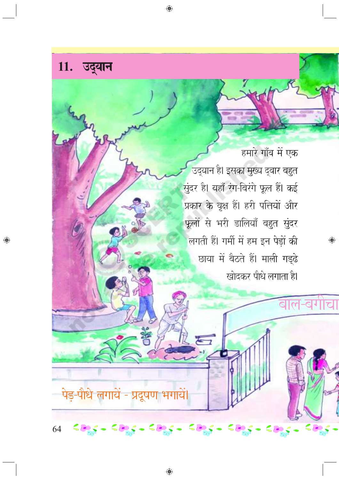

हमारे गाँव में एक उद्यान है। इसका मुख्य द्वार बहुत सुंदर है। यहाँ रंग-बिरंगे फूल हैं। कई प्रकार के वृक्ष हैं। हरी पत्तियों और फूलों से भरी डालियाँ बहुत सुंदर लगती हैं। गर्मी में हम इन पेड़ों की छाया में बैठते हैं। माली गड़्ढे खोदकर पौधे लगाता है।

 $\bigoplus$ 

 $H_0$ 

पेड-पौधे लगायें - प्रदुषण

sags - sags - sags

64

 $<$   $\Theta_{\alpha}$   $<$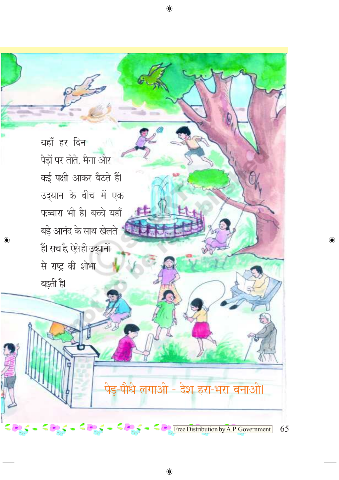यहाँ हर दिन पेड़ों पर तोते, मैना और कई पक्षी आकर बैठते हैं। उद्यान के बीच में एक फव्वारा भी है। बच्चे यहाँ बड़े आनंद के साथ खेलते हैं हैं। सच है, ऐसे ही उद्यानों से राष्ट्र की शोभा बढ़ती है।

◈

## पेड़-पौधे लगाओ - देश हरा-भरा बनाओ।

 $\bigoplus$ 

 $\bigoplus$ 

 $\leq \frac{1}{2}$   $\leq \frac{1}{2}$  Free Distribution by A.P. Government 65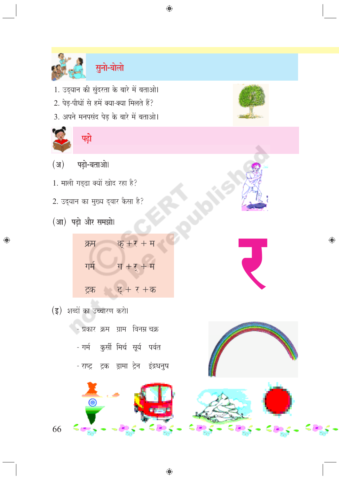



 $\bigoplus$ 

- 1. उद्यान की सुंदरता के बारे में बताओ।
- 2. पेड़-पौधों से हमें क्या-क्या मिलते हैं?
- 3. अपने मनपसंद पेड़ के बारे में बताओ।



◈



- पढ़ो-बताओ।  $(3)$
- 1. माली गड़्ढा क्यों खोद रहा है?
- 2. उद्यान का मुख्य द्वार कैसा है?
- (आ) पढ़ो और समझो।

| क्रम | <u>क्</u> +र + म |
|------|------------------|
| गर्म | ग $+7$ + म       |
| ट्रक | ट् + र +क        |

(इ) शब्दों का उच्चारण करो।

66

- प्रकार क्रम ग्राम विनम्र चक्र
- गर्म कुर्सी मिर्च सूर्य पर्वत
- राष्ट्र ट्रक ड्रामा ट्रेन इंद्रधनुष

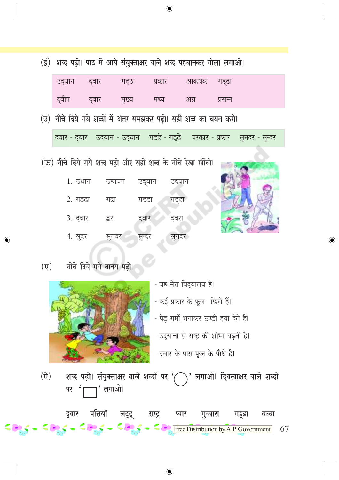|             | (ई) शब्द पढ़ो। पाठ में आये संयुक्ताक्षर वाले शब्द पहचानकर गोला लगाओ। |         |      |      |         |
|-------------|----------------------------------------------------------------------|---------|------|------|---------|
|             | उद्यान द्वार गट्ठा प्रकार आकर्षक गड़ढा                               |         |      |      |         |
| दुवीप दुवार |                                                                      | ् मुख्य | मध्य | अग्र | प्रसन्न |



सुनदर - सुन्दर

परकार - प्रकार

|          |         |         |        | (ऊ) नीचे दिये गये शब्द पढ़ो और सही शब्द के नीचे रेखा खींचो। |
|----------|---------|---------|--------|-------------------------------------------------------------|
|          | 1. उधान | उद्यायन | उद्यान | उदयान                                                       |
| 2. गडढा  |         | गढा     | गडडा   | गड्ढा                                                       |
| 3. दुवार |         | द्वर    | दवार   | द्वरा                                                       |
| 4. सुदर  |         | सुनदर   | सुन्दर | सुनदर                                                       |

(उ) नीचे दिये गये शब्दों में अंतर समझकर पढ़ो। सही शब्द का चयन करो।

दवार - दुवार - उदयान - उदयान - गडढे - गडुढे -

 $(\vec{v})$ नीचे दिये गये वाक्य पढ़ो।

◈



- यह मेरा विद्यालय है। - कई प्रकार के फूल खिले हैं। - पेड़ गर्मी भगाकर ठण्डी हवा देते हैं। - उद्यानों से राष्ट्र की शोभा बढ़ती है। - द्वार के पास फूल के पौधे हैं।

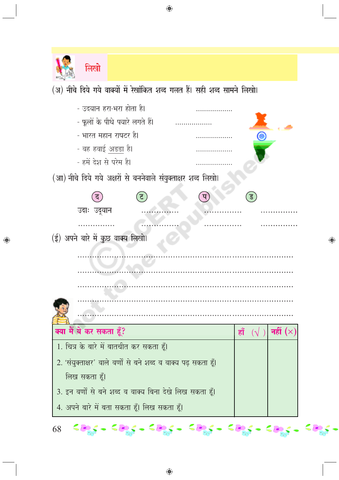

⊕